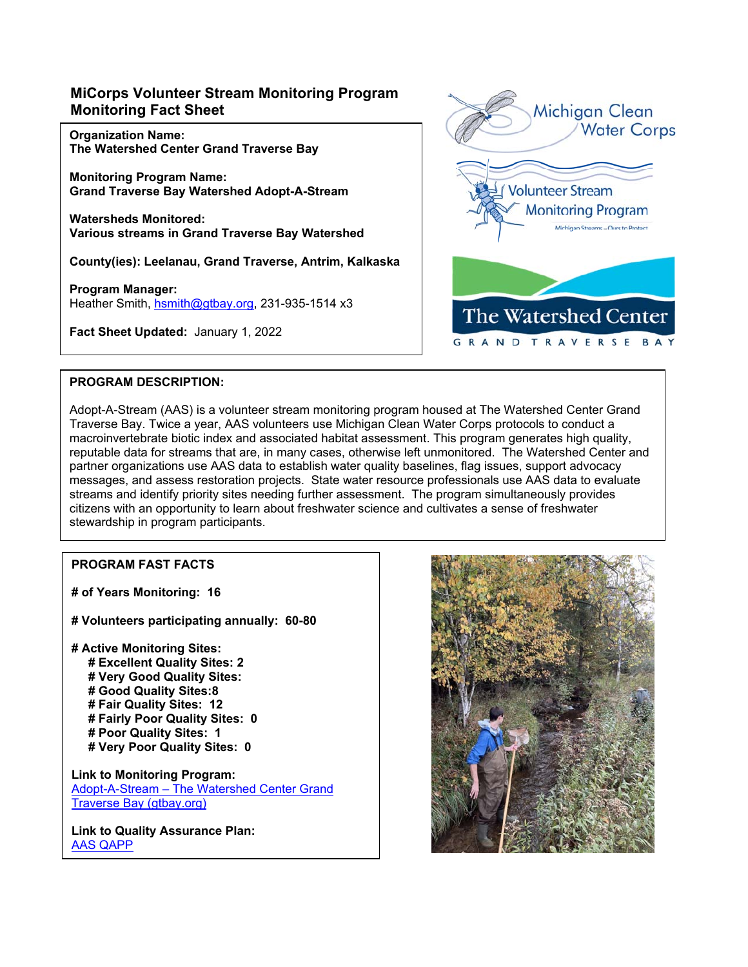# **MiCorps Volunteer Stream Monitoring Program Monitoring Fact Sheet**

**Organization Name: The Watershed Center Grand Traverse Bay** 

**Monitoring Program Name: Grand Traverse Bay Watershed Adopt-A-Stream** 

**Watersheds Monitored: Various streams in Grand Traverse Bay Watershed** 

**County(ies): Leelanau, Grand Traverse, Antrim, Kalkaska** 

**Program Manager:**  Heather Smith, hsmith@gtbay.org, 231-935-1514 x3

**Fact Sheet Updated:** January 1, 2022



## **PROGRAM DESCRIPTION:**

Adopt-A-Stream (AAS) is a volunteer stream monitoring program housed at The Watershed Center Grand Traverse Bay. Twice a year, AAS volunteers use Michigan Clean Water Corps protocols to conduct a macroinvertebrate biotic index and associated habitat assessment. This program generates high quality, reputable data for streams that are, in many cases, otherwise left unmonitored. The Watershed Center and partner organizations use AAS data to establish water quality baselines, flag issues, support advocacy messages, and assess restoration projects. State water resource professionals use AAS data to evaluate streams and identify priority sites needing further assessment. The program simultaneously provides citizens with an opportunity to learn about freshwater science and cultivates a sense of freshwater stewardship in program participants.

# **PROGRAM FAST FACTS**

**# of Years Monitoring: 16** 

**# Volunteers participating annually: 60-80** 

**# Active Monitoring Sites: # Excellent Quality Sites: 2 # Very Good Quality Sites: # Good Quality Sites:8 # Fair Quality Sites: 12 # Fairly Poor Quality Sites: 0 # Poor Quality Sites: 1 # Very Poor Quality Sites: 0** 

**Link to Monitoring Program:**  Adopt-A-Stream – The Watershed Center Grand Traverse Bay (gtbay.org)

**Link to Quality Assurance Plan:**  AAS QAPP